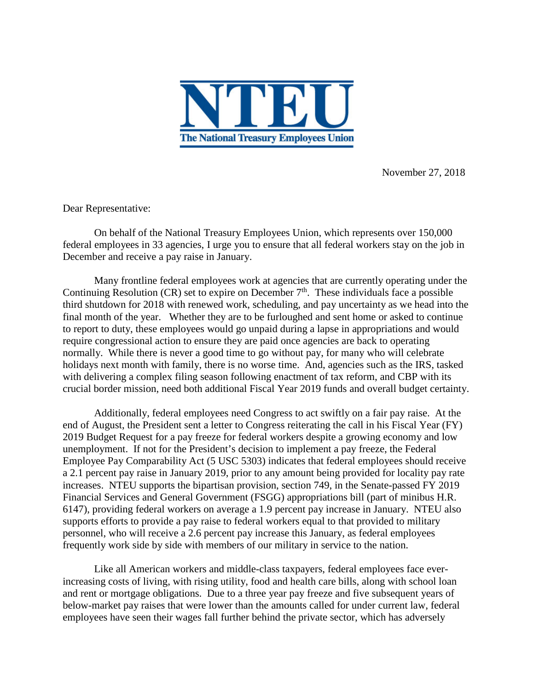

November 27, 2018

Dear Representative:

On behalf of the National Treasury Employees Union, which represents over 150,000 federal employees in 33 agencies, I urge you to ensure that all federal workers stay on the job in December and receive a pay raise in January.

Many frontline federal employees work at agencies that are currently operating under the Continuing Resolution (CR) set to expire on December  $7<sup>th</sup>$ . These individuals face a possible third shutdown for 2018 with renewed work, scheduling, and pay uncertainty as we head into the final month of the year. Whether they are to be furloughed and sent home or asked to continue to report to duty, these employees would go unpaid during a lapse in appropriations and would require congressional action to ensure they are paid once agencies are back to operating normally. While there is never a good time to go without pay, for many who will celebrate holidays next month with family, there is no worse time. And, agencies such as the IRS, tasked with delivering a complex filing season following enactment of tax reform, and CBP with its crucial border mission, need both additional Fiscal Year 2019 funds and overall budget certainty.

Additionally, federal employees need Congress to act swiftly on a fair pay raise. At the end of August, the President sent a letter to Congress reiterating the call in his Fiscal Year (FY) 2019 Budget Request for a pay freeze for federal workers despite a growing economy and low unemployment. If not for the President's decision to implement a pay freeze, the Federal Employee Pay Comparability Act (5 USC 5303) indicates that federal employees should receive a 2.1 percent pay raise in January 2019, prior to any amount being provided for locality pay rate increases. NTEU supports the bipartisan provision, section 749, in the Senate-passed FY 2019 Financial Services and General Government (FSGG) appropriations bill (part of minibus H.R. 6147), providing federal workers on average a 1.9 percent pay increase in January. NTEU also supports efforts to provide a pay raise to federal workers equal to that provided to military personnel, who will receive a 2.6 percent pay increase this January, as federal employees frequently work side by side with members of our military in service to the nation.

Like all American workers and middle-class taxpayers, federal employees face everincreasing costs of living, with rising utility, food and health care bills, along with school loan and rent or mortgage obligations. Due to a three year pay freeze and five subsequent years of below-market pay raises that were lower than the amounts called for under current law, federal employees have seen their wages fall further behind the private sector, which has adversely